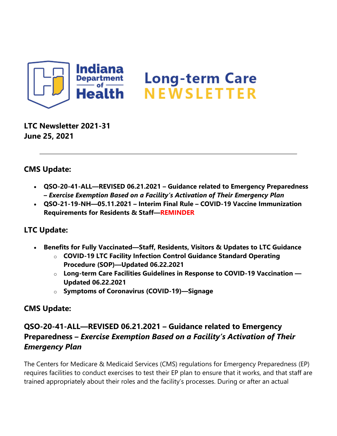

**LTC Newsletter 2021-31 June 25, 2021**

### **CMS Update:**

- **QSO-20-41-ALL—REVISED 06.21.2021 – Guidance related to Emergency Preparedness –** *Exercise Exemption Based on a Facility's Activation of Their Emergency Plan*
- **QSO-21-19-NH—05.11.2021 – Interim Final Rule – COVID-19 Vaccine Immunization Requirements for Residents & Staff—REMINDER**

### **LTC Update:**

- **Benefits for Fully Vaccinated—Staff, Residents, Visitors & Updates to LTC Guidance**
	- o **COVID-19 LTC Facility Infection Control Guidance Standard Operating Procedure (SOP)—Updated 06.22.2021**
	- o **Long-term Care Facilities Guidelines in Response to COVID-19 Vaccination — Updated 06.22.2021**
	- o **Symptoms of Coronavirus (COVID-19)—Signage**

### **CMS Update:**

## **QSO-20-41-ALL—REVISED 06.21.2021 – Guidance related to Emergency Preparedness –** *Exercise Exemption Based on a Facility's Activation of Their Emergency Plan*

The Centers for Medicare & Medicaid Services (CMS) regulations for Emergency Preparedness (EP) requires facilities to conduct exercises to test their EP plan to ensure that it works, and that staff are trained appropriately about their roles and the facility's processes. During or after an actual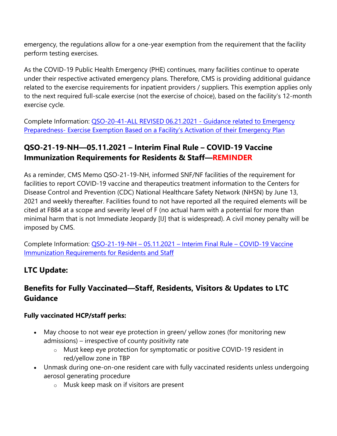emergency, the regulations allow for a one-year exemption from the requirement that the facility perform testing exercises.

As the COVID-19 Public Health Emergency (PHE) continues, many facilities continue to operate under their respective activated emergency plans. Therefore, CMS is providing additional guidance related to the exercise requirements for inpatient providers / suppliers. This exemption applies only to the next required full-scale exercise (not the exercise of choice), based on the facility's 12-month exercise cycle.

Complete Information: [QSO-20-41-ALL REVISED 06.21.2021 -](https://lnks.gd/l/eyJhbGciOiJIUzI1NiJ9.eyJidWxsZXRpbl9saW5rX2lkIjoxMDAsInVyaSI6ImJwMjpjbGljayIsImJ1bGxldGluX2lkIjoiMjAyMTA2MjUuNDI0MTQwNzEiLCJ1cmwiOiJodHRwczovL2NvbnRlbnQuZ292ZGVsaXZlcnkuY29tL2F0dGFjaG1lbnRzL0lOU0RILzIwMjEvMDYvMjQvZmlsZV9hdHRhY2htZW50cy8xODYyNzEyL1FTTy0yMC00MS1BTEwlMjBSZXZpc2VkLTYuMjEuMjAyMS5wZGYifQ.qcXAFKO3spjRiXgQTH0D1eKm2iBXWLhhwHMhpmHYgjQ/s/1439130268/br/108445794422-l) Guidance related to Emergency Preparedness- [Exercise Exemption Based on a Facility's Activation of their Emergency Plan](https://lnks.gd/l/eyJhbGciOiJIUzI1NiJ9.eyJidWxsZXRpbl9saW5rX2lkIjoxMDAsInVyaSI6ImJwMjpjbGljayIsImJ1bGxldGluX2lkIjoiMjAyMTA2MjUuNDI0MTQwNzEiLCJ1cmwiOiJodHRwczovL2NvbnRlbnQuZ292ZGVsaXZlcnkuY29tL2F0dGFjaG1lbnRzL0lOU0RILzIwMjEvMDYvMjQvZmlsZV9hdHRhY2htZW50cy8xODYyNzEyL1FTTy0yMC00MS1BTEwlMjBSZXZpc2VkLTYuMjEuMjAyMS5wZGYifQ.qcXAFKO3spjRiXgQTH0D1eKm2iBXWLhhwHMhpmHYgjQ/s/1439130268/br/108445794422-l)

## **QSO-21-19-NH—05.11.2021 – Interim Final Rule – COVID-19 Vaccine Immunization Requirements for Residents & Staff—REMINDER**

As a reminder, CMS Memo QSO-21-19-NH, informed SNF/NF facilities of the requirement for facilities to report COVID-19 vaccine and therapeutics treatment information to the Centers for Disease Control and Prevention (CDC) National Healthcare Safety Network (NHSN) by June 13, 2021 and weekly thereafter. Facilities found to not have reported all the required elements will be cited at F884 at a scope and severity level of F (no actual harm with a potential for more than minimal harm that is not Immediate Jeopardy [IJ] that is widespread). A civil money penalty will be imposed by CMS.

Complete Information: QSO-21-19-NH – 05.11.2021 – [Interim Final Rule –](https://lnks.gd/l/eyJhbGciOiJIUzI1NiJ9.eyJidWxsZXRpbl9saW5rX2lkIjoxMDEsInVyaSI6ImJwMjpjbGljayIsImJ1bGxldGluX2lkIjoiMjAyMTA2MjUuNDI0MTQwNzEiLCJ1cmwiOiJodHRwczovL2NvbnRlbnQuZ292ZGVsaXZlcnkuY29tL2F0dGFjaG1lbnRzL0lOU0RILzIwMjEvMDYvMjQvZmlsZV9hdHRhY2htZW50cy8xODYyNzA5L1FTTy0yMS0xOS1uaC0wNi4yMi4yMDIxJTIwJTI4MDAyJTI5LnBkZiJ9.k8ilSHaYo8QNqzd1hSsBi2QwB-OsvBZ_xIaY6iOBic0/s/1439130268/br/108445794422-l) COVID-19 Vaccine [Immunization Requirements for Residents and Staff](https://lnks.gd/l/eyJhbGciOiJIUzI1NiJ9.eyJidWxsZXRpbl9saW5rX2lkIjoxMDEsInVyaSI6ImJwMjpjbGljayIsImJ1bGxldGluX2lkIjoiMjAyMTA2MjUuNDI0MTQwNzEiLCJ1cmwiOiJodHRwczovL2NvbnRlbnQuZ292ZGVsaXZlcnkuY29tL2F0dGFjaG1lbnRzL0lOU0RILzIwMjEvMDYvMjQvZmlsZV9hdHRhY2htZW50cy8xODYyNzA5L1FTTy0yMS0xOS1uaC0wNi4yMi4yMDIxJTIwJTI4MDAyJTI5LnBkZiJ9.k8ilSHaYo8QNqzd1hSsBi2QwB-OsvBZ_xIaY6iOBic0/s/1439130268/br/108445794422-l)

# **LTC Update:**

## **Benefits for Fully Vaccinated—Staff, Residents, Visitors & Updates to LTC Guidance**

#### **Fully vaccinated HCP/staff perks:**

- May choose to not wear eye protection in green/ yellow zones (for monitoring new admissions) – irrespective of county positivity rate
	- o Must keep eye protection for symptomatic or positive COVID-19 resident in red/yellow zone in TBP
- Unmask during one-on-one resident care with fully vaccinated residents unless undergoing aerosol generating procedure
	- o Musk keep mask on if visitors are present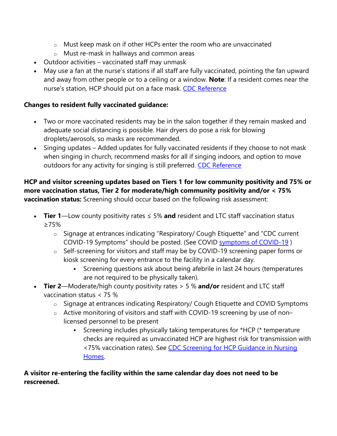- o Must keep mask on if other HCPs enter the room who are unvaccinated
- o Must re-mask in hallways and common areas
- Outdoor activities vaccinated staff may unmask
- May use a fan at the nurse's stations if all staff are fully vaccinated, pointing the fan upward and away from other people or to a ceiling or a window. **Note**: If a resident comes near the nurse's station, HCP should put on a face mask. [CDC Reference](https://lnks.gd/l/eyJhbGciOiJIUzI1NiJ9.eyJidWxsZXRpbl9saW5rX2lkIjoxMDIsInVyaSI6ImJwMjpjbGljayIsImJ1bGxldGluX2lkIjoiMjAyMTA2MjUuNDI0MTQwNzEiLCJ1cmwiOiJodHRwczovL3d3dy5jZGMuZ292L2Nvcm9uYXZpcnVzLzIwMTktbmNvdi9jb21tdW5pdHkvdmVudGlsYXRpb24uaHRtbCJ9.4E6BdkHCVRvXZ5XhPu4iosCmqBlEc4pGgXYMPlCv9u0/s/1439130268/br/108445794422-l)

#### **Changes to resident fully vaccinated guidance:**

- Two or more vaccinated residents may be in the salon together if they remain masked and adequate social distancing is possible. Hair dryers do pose a risk for blowing droplets/aerosols, so masks are recommended.
- Singing updates Added updates for fully vaccinated residents if they choose to not mask when singing in church, recommend masks for all if singing indoors, and option to move outdoors for any activity for singing is still preferred. [CDC Reference](https://lnks.gd/l/eyJhbGciOiJIUzI1NiJ9.eyJidWxsZXRpbl9saW5rX2lkIjoxMDMsInVyaSI6ImJwMjpjbGljayIsImJ1bGxldGluX2lkIjoiMjAyMTA2MjUuNDI0MTQwNzEiLCJ1cmwiOiJodHRwczovL3d3dy5jZGMuZ292L2Nvcm9uYXZpcnVzLzIwMTktbmNvdi9zY2llbmNlL3NjaWVuY2UtYnJpZWZzL3NhcnMtY292LTItdHJhbnNtaXNzaW9uLmh0bWwifQ.cBvUZAPNk44Et4slH9bBbC53SyWpaxlj1pZBj6nGlyY/s/1439130268/br/108445794422-l)

#### **HCP and visitor screening updates based on Tiers 1 for low community positivity and 75% or more vaccination status, Tier 2 for moderate/high community positivity and/or < 75% vaccination status:** Screening should occur based on the following risk assessment:

- **Tier 1**—Low county positivity rates ≤ 5% **and** resident and LTC staff vaccination status ≥75%
	- o Signage at entrances indicating "Respiratory/ Cough Etiquette" and "CDC current COVID-19 Symptoms" should be posted. (See COVID [symptoms of COVID-19](https://lnks.gd/l/eyJhbGciOiJIUzI1NiJ9.eyJidWxsZXRpbl9saW5rX2lkIjoxMDQsInVyaSI6ImJwMjpjbGljayIsImJ1bGxldGluX2lkIjoiMjAyMTA2MjUuNDI0MTQwNzEiLCJ1cmwiOiJodHRwczovL3d3dy5jZGMuZ292L2Nvcm9uYXZpcnVzLzIwMTktbmNvdi9zeW1wdG9tcy10ZXN0aW5nL3N5bXB0b21zLmh0bWwifQ.nWhoVNPVA3N-gk3OvdrCEobqkSkat6d00gcHprBr7t8/s/1439130268/br/108445794422-l) )
	- o Self-screening for visitors and staff may be by COVID-19 screening paper forms or kiosk screening for every entrance to the facility in a calendar day.
		- Screening questions ask about being afebrile in last 24 hours (temperatures are not required to be physically taken).
- **Tier 2**—Moderate/high county positivity rates > 5 % **and/or** resident and LTC staff vaccination status < 75 %
	- o Signage at entrances indicating Respiratory/ Cough Etiquette and COVID Symptoms
	- o Active monitoring of visitors and staff with COVID-19 screening by use of non– licensed personnel to be present
		- Screening includes physically taking temperatures for \*HCP (\* temperature checks are required as unvaccinated HCP are highest risk for transmission with <75% vaccination rates). See CDC Screening for HCP Guidance in Nursing [Homes.](https://lnks.gd/l/eyJhbGciOiJIUzI1NiJ9.eyJidWxsZXRpbl9saW5rX2lkIjoxMDUsInVyaSI6ImJwMjpjbGljayIsImJ1bGxldGluX2lkIjoiMjAyMTA2MjUuNDI0MTQwNzEiLCJ1cmwiOiJodHRwczovL3d3dy5jZGMuZ292L2Nvcm9uYXZpcnVzLzIwMTktbmNvdi9oY3AvbG9uZy10ZXJtLWNhcmUuaHRtbCJ9.kh7qLRmR4ZGxFmNCtt8PvlSgoMG3X5EDIqT3qLnU1KA/s/1439130268/br/108445794422-l)

#### **A visitor re-entering the facility within the same calendar day does not need to be rescreened.**